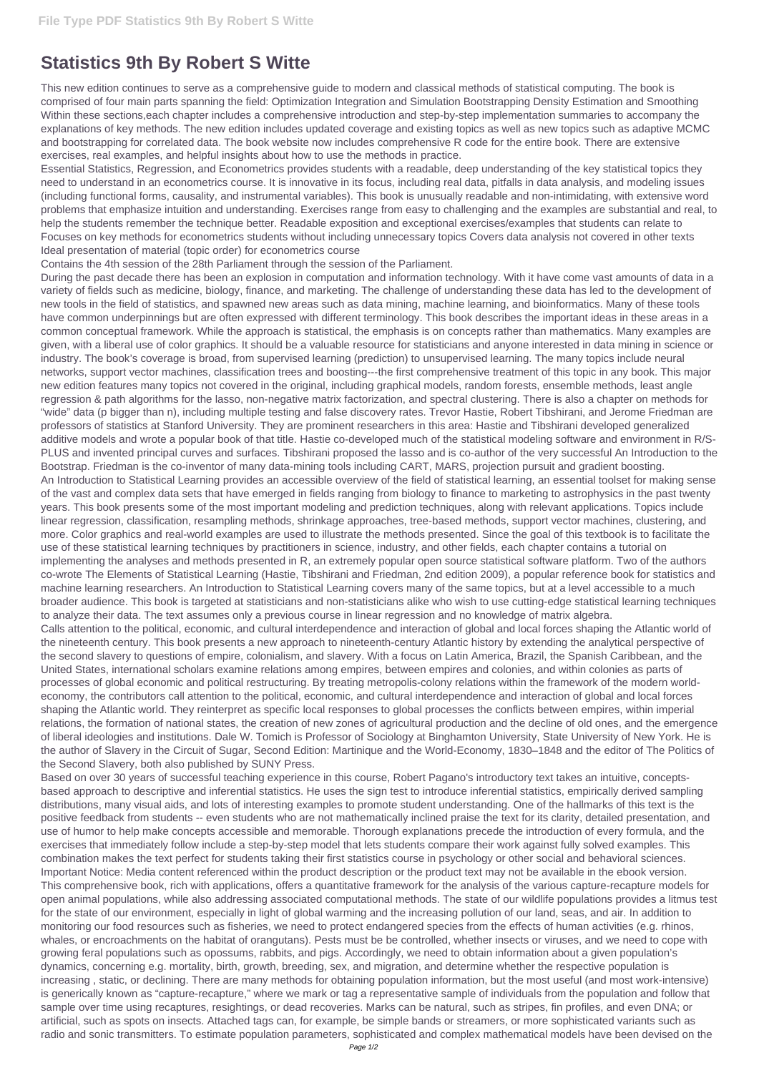## **Statistics 9th By Robert S Witte**

This new edition continues to serve as a comprehensive guide to modern and classical methods of statistical computing. The book is comprised of four main parts spanning the field: Optimization Integration and Simulation Bootstrapping Density Estimation and Smoothing Within these sections,each chapter includes a comprehensive introduction and step-by-step implementation summaries to accompany the explanations of key methods. The new edition includes updated coverage and existing topics as well as new topics such as adaptive MCMC and bootstrapping for correlated data. The book website now includes comprehensive R code for the entire book. There are extensive exercises, real examples, and helpful insights about how to use the methods in practice.

Essential Statistics, Regression, and Econometrics provides students with a readable, deep understanding of the key statistical topics they need to understand in an econometrics course. It is innovative in its focus, including real data, pitfalls in data analysis, and modeling issues (including functional forms, causality, and instrumental variables). This book is unusually readable and non-intimidating, with extensive word problems that emphasize intuition and understanding. Exercises range from easy to challenging and the examples are substantial and real, to help the students remember the technique better. Readable exposition and exceptional exercises/examples that students can relate to Focuses on key methods for econometrics students without including unnecessary topics Covers data analysis not covered in other texts Ideal presentation of material (topic order) for econometrics course

Contains the 4th session of the 28th Parliament through the session of the Parliament.

During the past decade there has been an explosion in computation and information technology. With it have come vast amounts of data in a variety of fields such as medicine, biology, finance, and marketing. The challenge of understanding these data has led to the development of new tools in the field of statistics, and spawned new areas such as data mining, machine learning, and bioinformatics. Many of these tools have common underpinnings but are often expressed with different terminology. This book describes the important ideas in these areas in a common conceptual framework. While the approach is statistical, the emphasis is on concepts rather than mathematics. Many examples are given, with a liberal use of color graphics. It should be a valuable resource for statisticians and anyone interested in data mining in science or industry. The book's coverage is broad, from supervised learning (prediction) to unsupervised learning. The many topics include neural networks, support vector machines, classification trees and boosting---the first comprehensive treatment of this topic in any book. This major new edition features many topics not covered in the original, including graphical models, random forests, ensemble methods, least angle regression & path algorithms for the lasso, non-negative matrix factorization, and spectral clustering. There is also a chapter on methods for "wide" data (p bigger than n), including multiple testing and false discovery rates. Trevor Hastie, Robert Tibshirani, and Jerome Friedman are professors of statistics at Stanford University. They are prominent researchers in this area: Hastie and Tibshirani developed generalized additive models and wrote a popular book of that title. Hastie co-developed much of the statistical modeling software and environment in R/S-PLUS and invented principal curves and surfaces. Tibshirani proposed the lasso and is co-author of the very successful An Introduction to the Bootstrap. Friedman is the co-inventor of many data-mining tools including CART, MARS, projection pursuit and gradient boosting. An Introduction to Statistical Learning provides an accessible overview of the field of statistical learning, an essential toolset for making sense of the vast and complex data sets that have emerged in fields ranging from biology to finance to marketing to astrophysics in the past twenty years. This book presents some of the most important modeling and prediction techniques, along with relevant applications. Topics include linear regression, classification, resampling methods, shrinkage approaches, tree-based methods, support vector machines, clustering, and more. Color graphics and real-world examples are used to illustrate the methods presented. Since the goal of this textbook is to facilitate the use of these statistical learning techniques by practitioners in science, industry, and other fields, each chapter contains a tutorial on implementing the analyses and methods presented in R, an extremely popular open source statistical software platform. Two of the authors co-wrote The Elements of Statistical Learning (Hastie, Tibshirani and Friedman, 2nd edition 2009), a popular reference book for statistics and machine learning researchers. An Introduction to Statistical Learning covers many of the same topics, but at a level accessible to a much broader audience. This book is targeted at statisticians and non-statisticians alike who wish to use cutting-edge statistical learning techniques to analyze their data. The text assumes only a previous course in linear regression and no knowledge of matrix algebra. Calls attention to the political, economic, and cultural interdependence and interaction of global and local forces shaping the Atlantic world of the nineteenth century. This book presents a new approach to nineteenth-century Atlantic history by extending the analytical perspective of the second slavery to questions of empire, colonialism, and slavery. With a focus on Latin America, Brazil, the Spanish Caribbean, and the

United States, international scholars examine relations among empires, between empires and colonies, and within colonies as parts of processes of global economic and political restructuring. By treating metropolis-colony relations within the framework of the modern worldeconomy, the contributors call attention to the political, economic, and cultural interdependence and interaction of global and local forces shaping the Atlantic world. They reinterpret as specific local responses to global processes the conflicts between empires, within imperial relations, the formation of national states, the creation of new zones of agricultural production and the decline of old ones, and the emergence of liberal ideologies and institutions. Dale W. Tomich is Professor of Sociology at Binghamton University, State University of New York. He is the author of Slavery in the Circuit of Sugar, Second Edition: Martinique and the World-Economy, 1830–1848 and the editor of The Politics of the Second Slavery, both also published by SUNY Press.

Based on over 30 years of successful teaching experience in this course, Robert Pagano's introductory text takes an intuitive, conceptsbased approach to descriptive and inferential statistics. He uses the sign test to introduce inferential statistics, empirically derived sampling distributions, many visual aids, and lots of interesting examples to promote student understanding. One of the hallmarks of this text is the

positive feedback from students -- even students who are not mathematically inclined praise the text for its clarity, detailed presentation, and use of humor to help make concepts accessible and memorable. Thorough explanations precede the introduction of every formula, and the exercises that immediately follow include a step-by-step model that lets students compare their work against fully solved examples. This combination makes the text perfect for students taking their first statistics course in psychology or other social and behavioral sciences. Important Notice: Media content referenced within the product description or the product text may not be available in the ebook version. This comprehensive book, rich with applications, offers a quantitative framework for the analysis of the various capture-recapture models for open animal populations, while also addressing associated computational methods. The state of our wildlife populations provides a litmus test for the state of our environment, especially in light of global warming and the increasing pollution of our land, seas, and air. In addition to monitoring our food resources such as fisheries, we need to protect endangered species from the effects of human activities (e.g. rhinos, whales, or encroachments on the habitat of orangutans). Pests must be be controlled, whether insects or viruses, and we need to cope with growing feral populations such as opossums, rabbits, and pigs. Accordingly, we need to obtain information about a given population's dynamics, concerning e.g. mortality, birth, growth, breeding, sex, and migration, and determine whether the respective population is increasing , static, or declining. There are many methods for obtaining population information, but the most useful (and most work-intensive) is generically known as "capture-recapture," where we mark or tag a representative sample of individuals from the population and follow that sample over time using recaptures, resightings, or dead recoveries. Marks can be natural, such as stripes, fin profiles, and even DNA; or artificial, such as spots on insects. Attached tags can, for example, be simple bands or streamers, or more sophisticated variants such as radio and sonic transmitters. To estimate population parameters, sophisticated and complex mathematical models have been devised on the